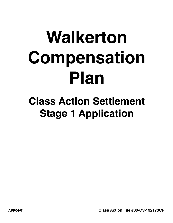# **Walkerton Compensation Plan**

# **Class Action Settlement Stage 1 Application**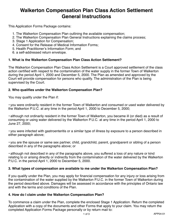### **Walkerton Compensation Plan Class Action Settlement General Instructions**

This Application Forms Package contains:

- 1. The Walkerton Compensation Plan outlining the available compensation;
- 2. The Walkerton Compensation Plan General Instructions explaining the claims process;
- 3. Stage 1 Application for Compensation;
- 4. Consent for the Release of Medical Information Forms;
- 5. Health Practitioner's Information Form; and
- 6. a self-addressed return envelope.

#### **1. What is the Walkerton Compensation Plan Class Action Settlement?**

The Walkerton Compensation Plan Class Action Settlement is a Court approved settlement of the class action certified with respect to the contamination of the water supply in the former Town of Walkerton during the period April 1, 2000 and December 5, 2000. The Plan as amended and approved by the Court will provide compensation for persons who qualify. The administration of the Plan is being supervised by the Court.

#### **2. Who qualifies under the Walkerton Compensation Plan?**

You may qualify under the Plan if:

• you were ordinarily resident in the former Town of Walkerton and consumed or used water delivered by the Walkerton P.U.C. at any time in the period April 1, 2000 to December 5, 2000;

• although not ordinarily resident in the former Town of Walkerton, you became ill (or died) as a result of consuming or using water delivered by the Walkerton P.U.C. at any time in the period April 1, 2000 to June 27, 2000;

• you were infected with gastroenteritis or a similar type of illness by exposure to a person described in either paragraph above;

• you are the spouse or same sex partner, child, grandchild, parent, grandparent or sibling of a person described in any of the paragraphs above; or

• although not described in any of the paragraphs above, you suffered a loss of any nature or kind relating to or arising directly or indirectly from the contamination of the water delivered by the Walkerton P.U.C. in the period April 1, 2000 to December 5, 2000.

#### **3. What types of compensation are available to me under the Walkerton Compensation Plan?**

If you qualify under the Plan, you may apply for financial compensation for any injury or loss arising from the contamination of the water supplied by the Walkerton P.U.C. in the former Town of Walkerton during the period described above. Damages will be assessed in accordance with the principles of Ontario law and with the terms and conditions of the Plan.

#### **4. How do I claim under the Walkerton Compensation Plan?**

To commence a claim under the Plan, complete the enclosed Stage 1 Application. Return the completed Application with a copy of the documents and other Forms that apply to your claim. You may return the completed Application Forms Package personally or by return mail to: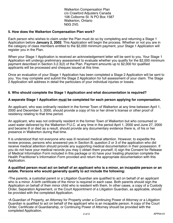Walkerton Compensation Plan c/o Crawford Adjusters Canada 106 Colborne St. N PO Box 1587 Walkerton, Ontario N0G 2V0.

#### **5. How does the Walkerton Compensation Plan work?**

Each person who wishes to claim under the Plan must do so by completing and returning a Stage 1 Application before **January 2, 2002**. This Application will begin the process. Whether or not you are in the category of class members entitled to the \$2,000 minimum payment, your Stage 1 Application will register you in the Plan.

When your Stage 1 Application is received an acknowledgement letter will be sent to you. Your Stage 1 Application will undergo preliminary assessment to evaluate whether you qualify for the \$2,000 minimum payment described in Section 3.2.3(2) of the Plan. Payment amounts up to \$2,000 for qualified applicants will be processed and cheques issued at this time.

Once an evaluation of your Stage 1 Application has been completed a Stage 2 Application will be sent to you. You may complete and submit the Stage 2 Application for full assessment of your claim. The Stage 2 Application will address in detail the particulars of your individual injuries or losses.

#### **6. Who should complete the Stage 1 Application and what documentation is required?**

#### **A separate Stage 1 Application must be completed for each person applying for compensation.**

An applicant, who was ordinarily resident in the former Town of Walkerton at any time between April 1, 2000 and December 5, 2000, should provide a copy of his or her driver's license or other proof of residency relating to that time period.

An applicant, who was not ordinarily resident in the former Town of Walkerton but who consumed or used water delivered by the Walkerton P.U.C. at any time in the period April 1, 2000 and June 27, 2000 and became ill or died as a result, should provide any documentary evidence there is, of his or her presence in Walkerton during that time.

It is understood that not everyone who was ill received medical attention. However, to expedite the review process, persons who answered yes in Section B, question 2 or 3 of the application who did receive medical attention should provide any supporting medical documentation in their possession. If you do not have your medical records you may i) obtain them yourself, ii) sign the Consent for Release of Medical Information Form included in this package or iii) have your treating physician complete the Health Practitioner's Information Form provided and return the appropriate documentation with this Application.

#### **A qualified person must act on behalf of an applicant who is a minor, an incapable person or an estate. Persons who would generally qualify to act include the following:**

•The parents, a custodial parent or a Litigation Guardian are qualified to act on behalf of an applicant who is a minor. A birth certificate of the minor is required in each case. Both parents should sign the Application on behalf of their minor child who is resident with them. In other cases, a copy of a Custody Order, Separation Agreement, or the Court Appointment of a Litigation Guardian, as applicable, should be provided with the completed Application.

•A Guardian of Property, an Attorney for Property under a Continuing Power of Attorney or a Litigation Guardian is qualified to act on behalf of the applicant who is an incapable person. A copy of the Court Order, Certificate of Guardianship, or Continuing Power of Attorney should be provided with the completed Application.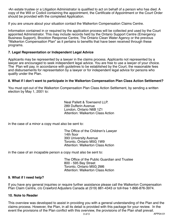•An estate trustee or a Litigation Administrator is qualified to act on behalf of a person who has died. A copy of the Will or Codicil containing the appointment, the Certificate of Appointment or the Court Order should be provided with the completed Application.

If you are unsure about your situation contact the Walkerton Compensation Claims Centre.

Information contained in or required by the application process will be collected and used by the Court appointed Administrator. This may include records held by the Ontario Support Centre (Emergency Business Support), Brockton Response Centre, The Ontario Clean Water Agency or the previous "Walkerton Compensation Plan" as it pertains to benefits that have been received through these programs.

#### **7. Legal Representation or Independent Legal Advice**

Applicants may be represented by a lawyer in the claims process. Applicants not represented by a lawyer are encouraged to seek independent legal advice. You are free to use a lawyer of your choice. The Plan will pay, in accordance with guidelines to be established by the Court, the reasonable fees and disbursements for representation by a lawyer or for independent legal advice for persons who qualify under the Plan.

#### **8. What if I don't want to participate in the Walkerton Compensation Plan Class Action Settlement?**

You must opt-out of the Walkerton Compensation Plan Class Action Settlement, by sending a written election by May 1, 2001 to:

> Neal Pallett & Townsend LLP. 289 Dufferin Avenue London, Ontario N6B 1Z1 Attention: Walkerton Class Action

in the case of a minor a copy must also be sent to:

The Office of the Children's Lawyer 14th floor 393 University Avenue Toronto, Ontario M5G 1W9 Attention: Walkerton Class Action

in the case of an incapable person a copy must also be sent to:

The Office of the Public Guardian and Trustee 800 - 595 Bay Street Toronto, Ontario M5G 2M6 Attention: Walkerton Class Action

#### **9. What if I need help?**

If you have any general inquiries or require further assistance please call the Walkerton Compensation Plan Claim Centre, c/o Crawford Adjusters Canada at (519) 881-4343 or toll-free 1-866-876-3974.

#### **10. Note to Reader**

3 of 3 APP04-01 This overview was developed to assist in providing you with a general understanding of the Plan and the claims process. However, the Plan, in all its detail is provided with this package for your review. In the event the provisions of the Plan conflict with this overview, the provisions of the Plan shall prevail.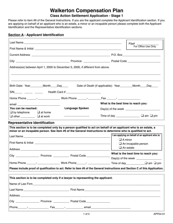## **Walkerton Compensation Plan**

#### **Class Action Settlement Application - Stage 1**

Please refer to item #6 of the General Instructions. If you are the applicant complete the Applicant Identification section. If you are applying on behalf of an applicant who is an estate, a minor or an incapable person please complete both the Applicant Identification and the Representative Identification sections.

#### **Section A - Applicant Identification**

| File# $\qquad$                                                                                                                                                 |  |  |  |  |
|----------------------------------------------------------------------------------------------------------------------------------------------------------------|--|--|--|--|
| For Office Use Only                                                                                                                                            |  |  |  |  |
|                                                                                                                                                                |  |  |  |  |
|                                                                                                                                                                |  |  |  |  |
| Address(es) between April 1, 2000 to December 5, 2000, if different from above.                                                                                |  |  |  |  |
|                                                                                                                                                                |  |  |  |  |
|                                                                                                                                                                |  |  |  |  |
| Birth Date: Year________Month____Day_____   Date of Death (if applicable): Year_______Month____Day____                                                         |  |  |  |  |
|                                                                                                                                                                |  |  |  |  |
|                                                                                                                                                                |  |  |  |  |
| What is the best time to reach you:                                                                                                                            |  |  |  |  |
| <b>Language Spoken</b>                                                                                                                                         |  |  |  |  |
| Time of day $\sqrt{2}$ am $\Box$ pm                                                                                                                            |  |  |  |  |
|                                                                                                                                                                |  |  |  |  |
|                                                                                                                                                                |  |  |  |  |
|                                                                                                                                                                |  |  |  |  |
| This section is to be completed only by a person qualified to act on behalf of an applicant who is an estate, a                                                |  |  |  |  |
| minor or an incapable person. See item #6 of the General Instructions to determine who is qualified to act.<br>I am applying on behalf of an applicant who is: |  |  |  |  |
| $\Box$ A minor                                                                                                                                                 |  |  |  |  |
| $\Box$ An incapable person                                                                                                                                     |  |  |  |  |
| $\Box$ An estate                                                                                                                                               |  |  |  |  |
| What is the best time to reach you:                                                                                                                            |  |  |  |  |
| Day(s) of the week __________________                                                                                                                          |  |  |  |  |
| Time of day $\Box$ am $\Box$ pm                                                                                                                                |  |  |  |  |
|                                                                                                                                                                |  |  |  |  |
| This section is to be completed only if a lawyer is representing the applicant.                                                                                |  |  |  |  |
|                                                                                                                                                                |  |  |  |  |
|                                                                                                                                                                |  |  |  |  |
|                                                                                                                                                                |  |  |  |  |
| Please include proof of qualification to act. Refer to item #6 of the General Instructions and Section C of this Application.                                  |  |  |  |  |
|                                                                                                                                                                |  |  |  |  |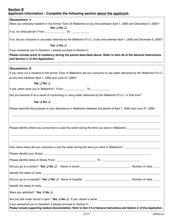#### **Section B Applicant Information - Complete the following section about the applicant.**

| Applicant information - Complete the following section <u>about the applicant.</u>                                                                                                              |
|-------------------------------------------------------------------------------------------------------------------------------------------------------------------------------------------------|
| <b>Question 1</b>                                                                                                                                                                               |
| Were you ordinarily resident in the former Town Of Walkerton at any time between April 1, 2000 and December 5, 2000?<br>Yes $\Box$ No $\Box$                                                    |
| If so, for what period? From: __________________ To: ______________                                                                                                                             |
| If so, did you consume or use water delivered by the Walkerton P.U.C. at any time between April 1, 2000 and December 5, 2000?                                                                   |
| Yes $\square$ No $\square$                                                                                                                                                                      |
| If you answered yes to Question 1 please proceed to Section C.                                                                                                                                  |
| Please include proof of residency during the period described above. Refer to item #6 of the General Instructions<br>and Section C of this Application.                                         |
| <b>Question 2</b>                                                                                                                                                                               |
| If you were not a resident of the former Town of Walkerton did you consume or use water delivered by the Walkerton P.U.C.                                                                       |
| at any time between April 1, 2000 and June 27, 2000?                                                                                                                                            |
| Yes $\square$ No $\square$                                                                                                                                                                      |
|                                                                                                                                                                                                 |
| Did you become ill as a result of consuming or using water delivered by the Walkerton P.U.C. in that time?                                                                                      |
| Yes $\square$ No $\square$                                                                                                                                                                      |
| Please describe the purpose of your attendance in Walkerton between the period of April 1, 2000 and June 27, 2000                                                                               |
| Please identify where you consumed or used the water during the time you were in Walkerton.                                                                                                     |
| How many times did you consume or use the water during the time you were in Walkerton? ______________________                                                                                   |
|                                                                                                                                                                                                 |
|                                                                                                                                                                                                 |
|                                                                                                                                                                                                 |
|                                                                                                                                                                                                 |
|                                                                                                                                                                                                 |
| Were you admitted? Yes $\Box$ No $\Box$                                                                                                                                                         |
|                                                                                                                                                                                                 |
| If you answered yes to Question 2 please proceed to Section C.<br>Please include supporting medical documentation. Refer to item # 6 of General Instructions and Section C of this Application. |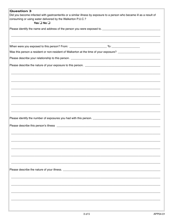| <b>Question 3</b>                                                                                                       |  |  |
|-------------------------------------------------------------------------------------------------------------------------|--|--|
| Did you become infected with gastroenteritis or a similar illness by exposure to a person who became ill as a result of |  |  |
| consuming or using water delivered by the Walkerton P.U.C.?                                                             |  |  |
| Yes $\square$ No $\square$                                                                                              |  |  |
|                                                                                                                         |  |  |
|                                                                                                                         |  |  |
|                                                                                                                         |  |  |
|                                                                                                                         |  |  |
|                                                                                                                         |  |  |
| Was this person a resident or non-resident of Walkerton at the time of your exposure? ___________________________       |  |  |
|                                                                                                                         |  |  |
|                                                                                                                         |  |  |
|                                                                                                                         |  |  |
|                                                                                                                         |  |  |
|                                                                                                                         |  |  |
|                                                                                                                         |  |  |
|                                                                                                                         |  |  |
|                                                                                                                         |  |  |
|                                                                                                                         |  |  |
|                                                                                                                         |  |  |
|                                                                                                                         |  |  |
|                                                                                                                         |  |  |
|                                                                                                                         |  |  |
|                                                                                                                         |  |  |
|                                                                                                                         |  |  |
|                                                                                                                         |  |  |
|                                                                                                                         |  |  |
|                                                                                                                         |  |  |
|                                                                                                                         |  |  |
|                                                                                                                         |  |  |
|                                                                                                                         |  |  |
|                                                                                                                         |  |  |
|                                                                                                                         |  |  |
|                                                                                                                         |  |  |
|                                                                                                                         |  |  |
|                                                                                                                         |  |  |
|                                                                                                                         |  |  |
|                                                                                                                         |  |  |
|                                                                                                                         |  |  |
|                                                                                                                         |  |  |
|                                                                                                                         |  |  |
|                                                                                                                         |  |  |
|                                                                                                                         |  |  |
|                                                                                                                         |  |  |
|                                                                                                                         |  |  |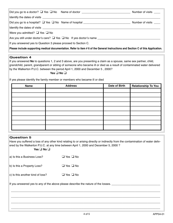|                                                                                                                                  | Number of visits      |  |
|----------------------------------------------------------------------------------------------------------------------------------|-----------------------|--|
|                                                                                                                                  |                       |  |
|                                                                                                                                  | Number of visits ____ |  |
|                                                                                                                                  |                       |  |
| Were you admitted? $\Box$ Yes $\Box$ No                                                                                          |                       |  |
| Are you still under doctor's care? $\Box$ Yes $\Box$ No If yes doctor's name                                                     |                       |  |
| If you answered yes to Question 3 please proceed to Section C.                                                                   |                       |  |
| Please include supporting medical documentation. Refer to item #6 of the General Instructions and Section C of this Application. |                       |  |

#### **Question 4**

If you answered **No** to questions 1, 2 and 3 above, are you presenting a claim as a spouse, same sex partner, child, grandchild, parent, grandparent or sibling of someone who became ill or died as a result of contaminated water delivered by the Walkerton P.U.C. between the period April 1, 2000 and December 5 , 2000?

#### **Yes** ❑ **No** ❑

If yes please identify the family member or members who became ill or died

| <b>Name</b> | <b>Address</b> | Date of Birth | Relationship To You |
|-------------|----------------|---------------|---------------------|
|             |                |               |                     |
|             |                |               |                     |
|             |                |               |                     |
|             |                |               |                     |
|             |                |               |                     |
|             |                |               |                     |
|             |                |               |                     |
|             |                |               |                     |
|             |                |               |                     |

#### **Question 5**

Have you suffered a loss of any other kind relating to or arising directly or indirectly from the contamination of water delivered by the Walkerton P.U.C. at any time between April 1, 2000 and December 5, 2000 ?

#### **Yes** ❑ **No** ❑

| a) Is this a Business Loss?                                                       | $\Box$ Yes $\Box$ No |  |  |
|-----------------------------------------------------------------------------------|----------------------|--|--|
| b) Is this a Property Loss?                                                       | $\Box$ Yes $\Box$ No |  |  |
| c) Is this another kind of loss?                                                  | $\Box$ Yes $\Box$ No |  |  |
| If you answered yes to any of the above please describe the nature of the losses. |                      |  |  |
|                                                                                   |                      |  |  |
|                                                                                   |                      |  |  |
|                                                                                   |                      |  |  |